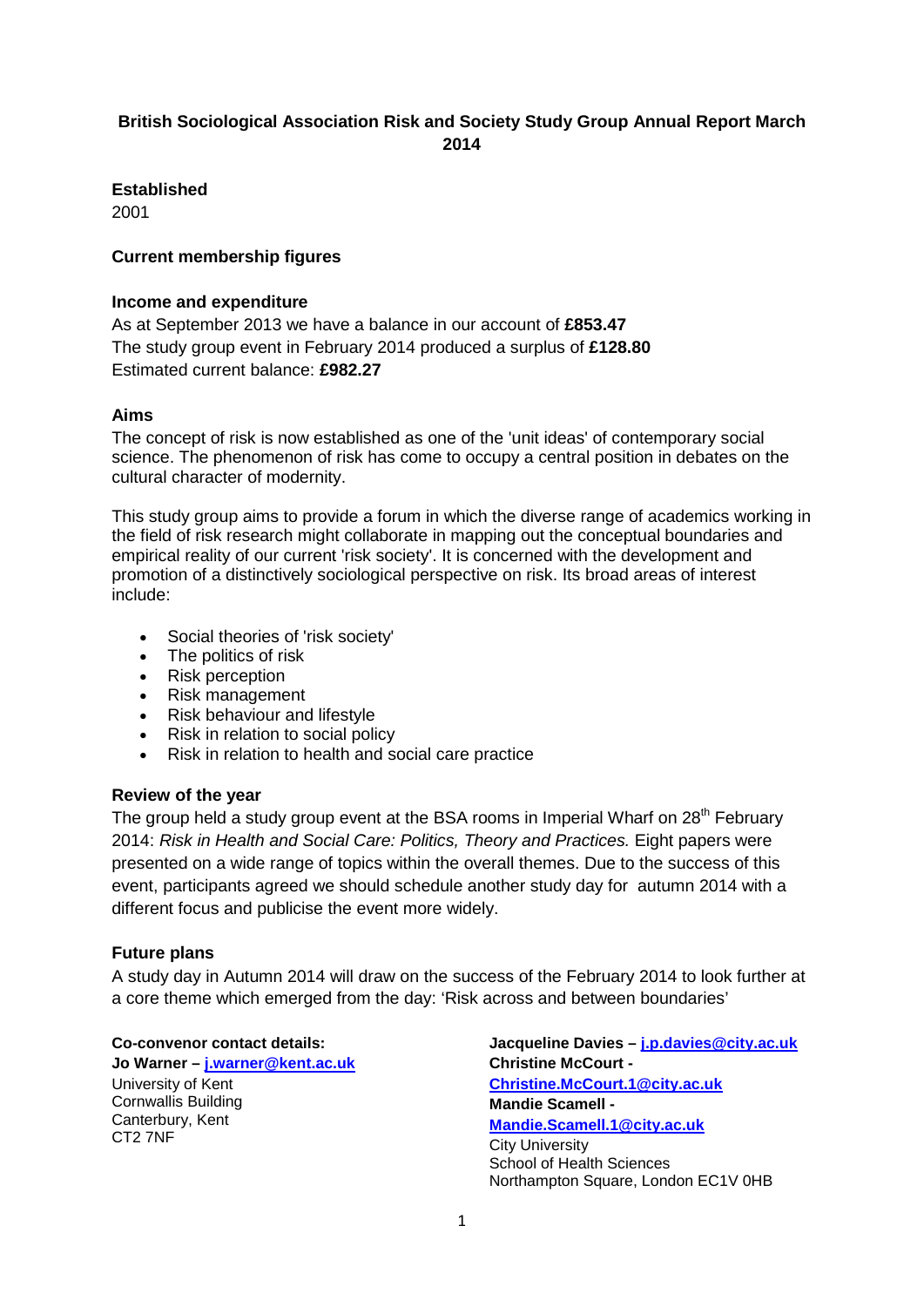# **British Sociological Association Risk and Society Study Group Annual Report March 2014**

**Established**

2001

## **Current membership figures**

## **Income and expenditure**

As at September 2013 we have a balance in our account of **£853.47** The study group event in February 2014 produced a surplus of **£128.80** Estimated current balance: **£982.27**

## **Aims**

The concept of risk is now established as one of the 'unit ideas' of contemporary social science. The phenomenon of risk has come to occupy a central position in debates on the cultural character of modernity.

This study group aims to provide a forum in which the diverse range of academics working in the field of risk research might collaborate in mapping out the conceptual boundaries and empirical reality of our current 'risk society'. It is concerned with the development and promotion of a distinctively sociological perspective on risk. Its broad areas of interest include:

- Social theories of 'risk society'
- The politics of risk
- Risk perception
- Risk management
- Risk behaviour and lifestyle
- Risk in relation to social policy
- Risk in relation to health and social care practice

### **Review of the year**

The group held a study group event at the BSA rooms in Imperial Wharf on  $28<sup>th</sup>$  February 2014: *Risk in Health and Social Care: Politics, Theory and Practices.* Eight papers were presented on a wide range of topics within the overall themes. Due to the success of this event, participants agreed we should schedule another study day for autumn 2014 with a different focus and publicise the event more widely.

## **Future plans**

A study day in Autumn 2014 will draw on the success of the February 2014 to look further at a core theme which emerged from the day: 'Risk across and between boundaries'

**Co-convenor contact details:**

**Jo Warner – [j.warner@kent.ac.uk](mailto:j.warner@kent.ac.uk)** University of Kent Cornwallis Building Canterbury, Kent CT2 7NF

**Jacqueline Davies – [j.p.davies@city.ac.uk](mailto:j.p.davies@city.ac.uk) Christine McCourt - [Christine.McCourt.1@city.ac.uk](mailto:Christine.McCourt.1@city.ac.uk) Mandie Scamell - [Mandie.Scamell.1@city.ac.uk](mailto:Mandie.Scamell.1@city.ac.uk)** City University School of Health Sciences Northampton Square, London EC1V 0HB